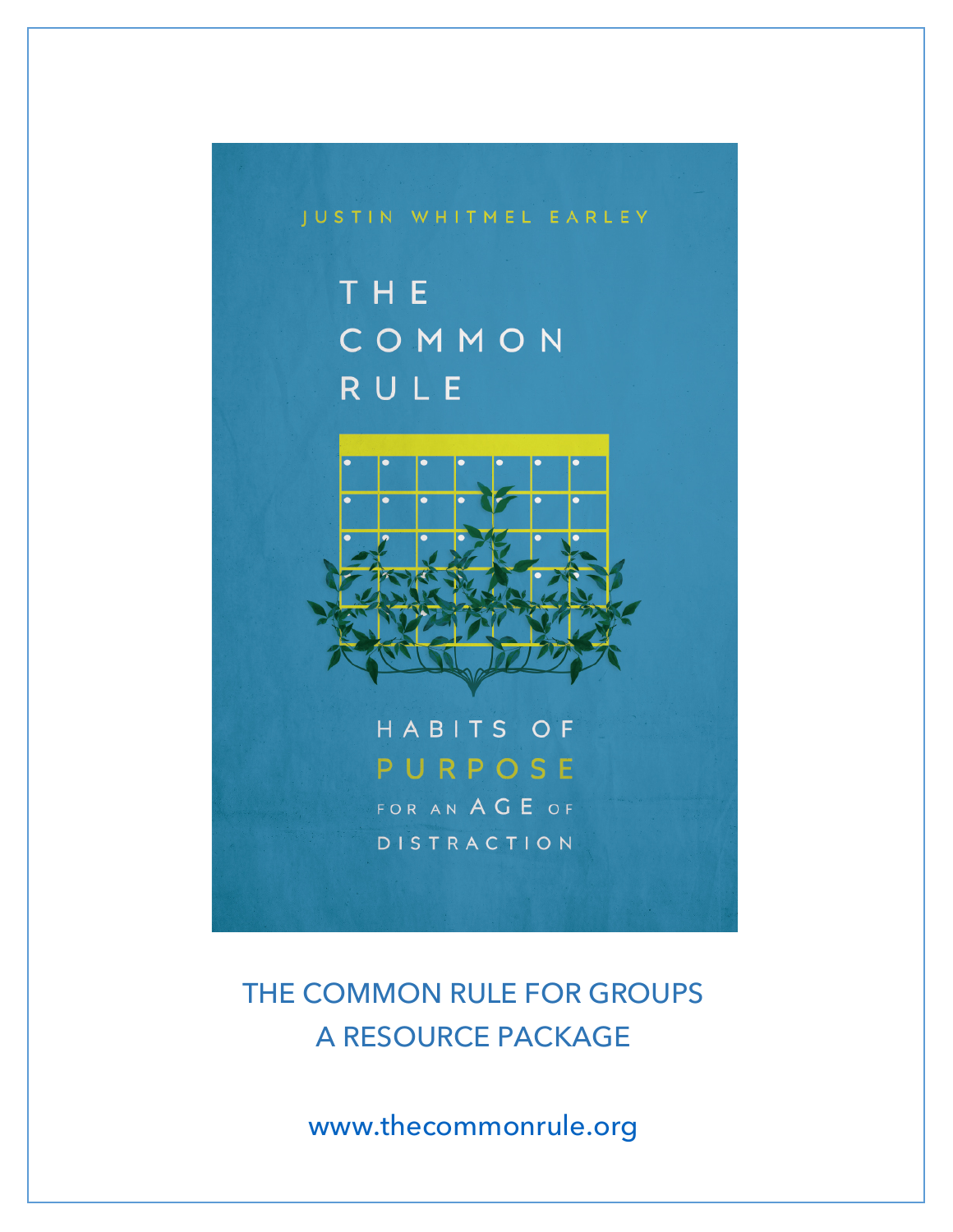THE COMMON RULE



HABITS OF PURPOSE

FOR AN AGE OF DISTRACTION

THE COMMON RULE FOR GROUPS A RESOURCE PACKAGE

www.thecommonrule.org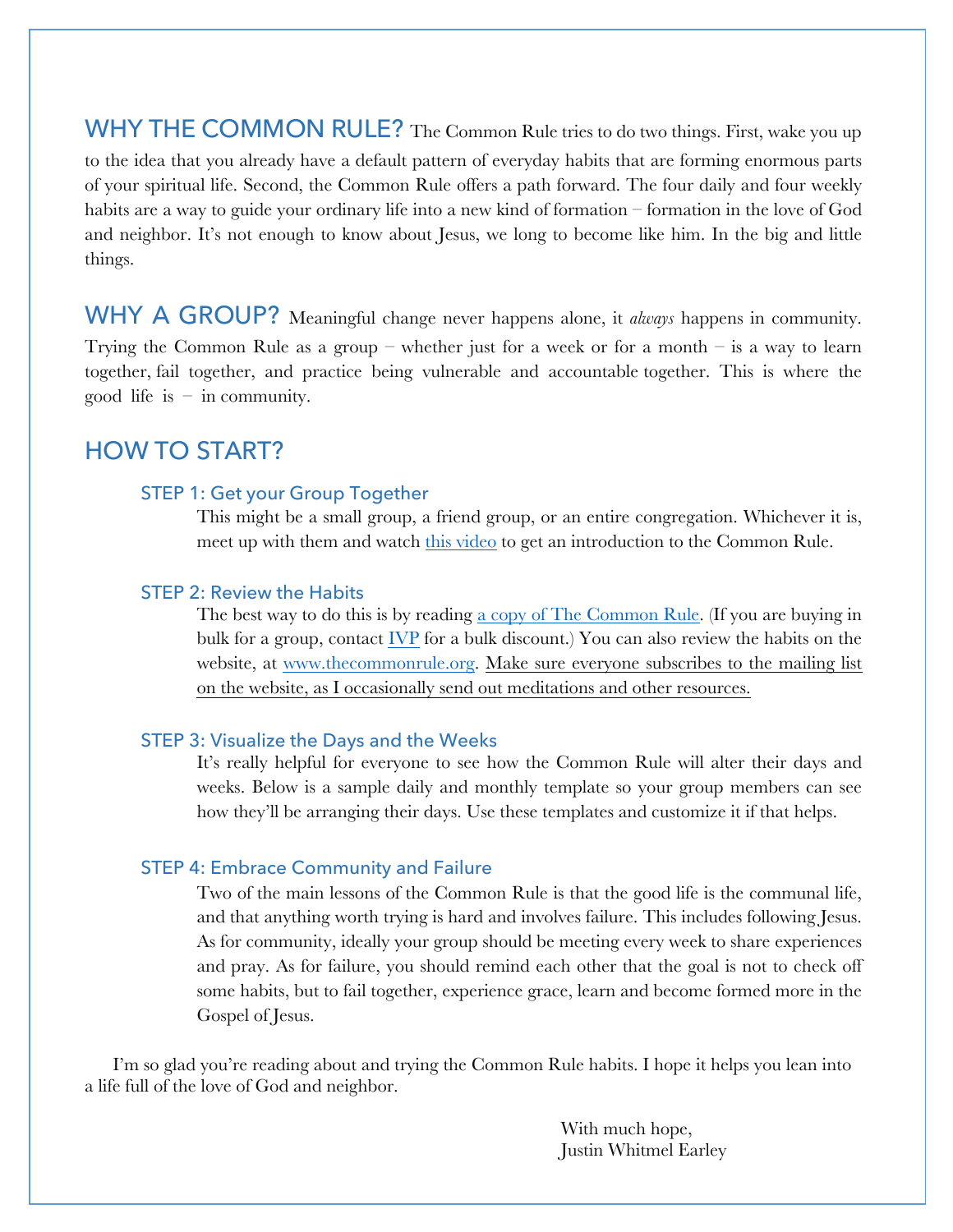WHY THE COMMON RULE? The Common Rule tries to do two things. First, wake you up to the idea that you already have a default pattern of everyday habits that are forming enormous parts of your spiritual life. Second, the Common Rule offers a path forward. The four daily and four weekly habits are a way to guide your ordinary life into a new kind of formation – formation in the love of God and neighbor. It's not enough to know about Jesus, we long to become like him. In the big and little things.

WHY A GROUP? Meaningful change never happens alone, it *always* happens in community. Trying the Common Rule as a group – whether just for a week or for a month – is a way to learn together, fail together, and practice being vulnerable and accountable together. This is where the good life is  $-$  in community.

## HOW TO START?

#### STEP 1: Get your Group Together

This might be a small group, a friend group, or an entire congregation. Whichever it is, meet up with them and watch [this video](https://youtu.be/4JDZKgGDKcs) to get an introduction to the Common Rule.

#### STEP 2: Review the Habits

The best way to do this is by reading [a copy of The Common Rule.](https://www.amazon.com/Common-Rule-Justin-Whitmel-Earley/dp/0830845607) (If you are buying in bulk for a group, contact  $\underline{IVP}$  $\underline{IVP}$  $\underline{IVP}$  for a bulk discount.) You can also review the habits on the website, at www.thecommonrule.org. Make sure everyone subscribes to the mailing list on the website, as I occasionally send out meditations and other resources.

### STEP 3: Visualize the Days and the Weeks

It's really helpful for everyone to see how the Common Rule will alter their days and weeks. Below is a sample daily and monthly template so your group members can see how they'll be arranging their days. Use these templates and customize it if that helps.

#### STEP 4: Embrace Community and Failure

Two of the main lessons of the Common Rule is that the good life is the communal life, and that anything worth trying is hard and involves failure. This includes following Jesus. As for community, ideally your group should be meeting every week to share experiences and pray. As for failure, you should remind each other that the goal is not to check off some habits, but to fail together, experience grace, learn and become formed more in the Gospel of Jesus.

I'm so glad you're reading about and trying the Common Rule habits. I hope it helps you lean into a life full of the love of God and neighbor.

> With much hope, Justin Whitmel Earley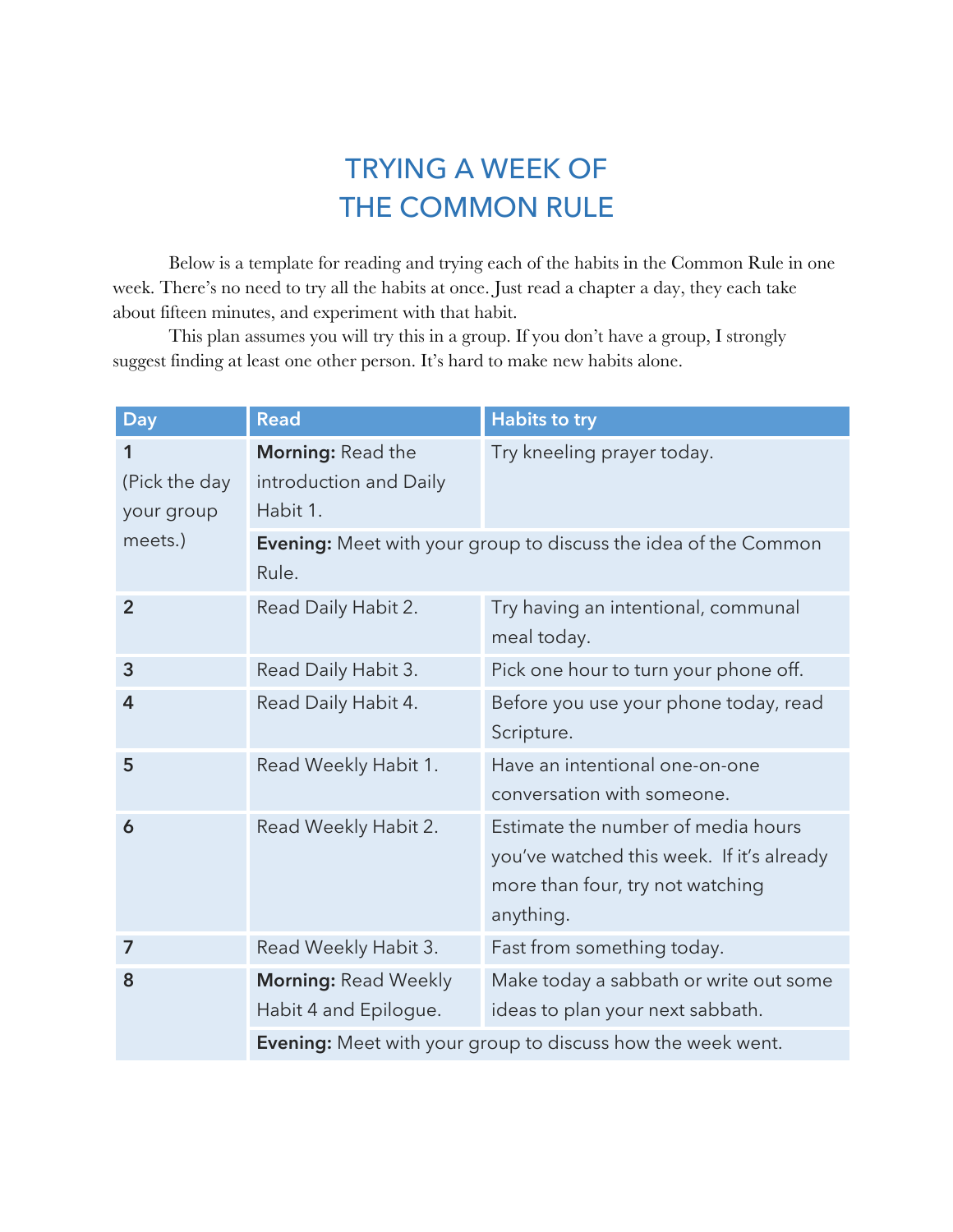# TRYING A WEEK OF THE COMMON RULE

Below is a template for reading and trying each of the habits in the Common Rule in one week. There's no need to try all the habits at once. Just read a chapter a day, they each take about fifteen minutes, and experiment with that habit.

This plan assumes you will try this in a group. If you don't have a group, I strongly suggest finding at least one other person. It's hard to make new habits alone.

| Day                                         | <b>Read</b>                                                                     | <b>Habits to try</b>                                                                                                             |  |  |  |
|---------------------------------------------|---------------------------------------------------------------------------------|----------------------------------------------------------------------------------------------------------------------------------|--|--|--|
| 1<br>(Pick the day<br>your group<br>meets.) | Morning: Read the<br>introduction and Daily<br>Habit 1.                         | Try kneeling prayer today.                                                                                                       |  |  |  |
|                                             | <b>Evening:</b> Meet with your group to discuss the idea of the Common<br>Rule. |                                                                                                                                  |  |  |  |
| $\overline{2}$                              | Read Daily Habit 2.                                                             | Try having an intentional, communal<br>meal today.                                                                               |  |  |  |
| 3                                           | Read Daily Habit 3.                                                             | Pick one hour to turn your phone off.                                                                                            |  |  |  |
| 4                                           | Read Daily Habit 4.                                                             | Before you use your phone today, read<br>Scripture.                                                                              |  |  |  |
| 5                                           | Read Weekly Habit 1.                                                            | Have an intentional one-on-one<br>conversation with someone.                                                                     |  |  |  |
| 6                                           | Read Weekly Habit 2.                                                            | Estimate the number of media hours<br>you've watched this week. If it's already<br>more than four, try not watching<br>anything. |  |  |  |
| $\overline{7}$                              | Read Weekly Habit 3.                                                            | Fast from something today.                                                                                                       |  |  |  |
| 8                                           | <b>Morning: Read Weekly</b><br>Habit 4 and Epilogue.                            | Make today a sabbath or write out some<br>ideas to plan your next sabbath.                                                       |  |  |  |
|                                             | <b>Evening:</b> Meet with your group to discuss how the week went.              |                                                                                                                                  |  |  |  |